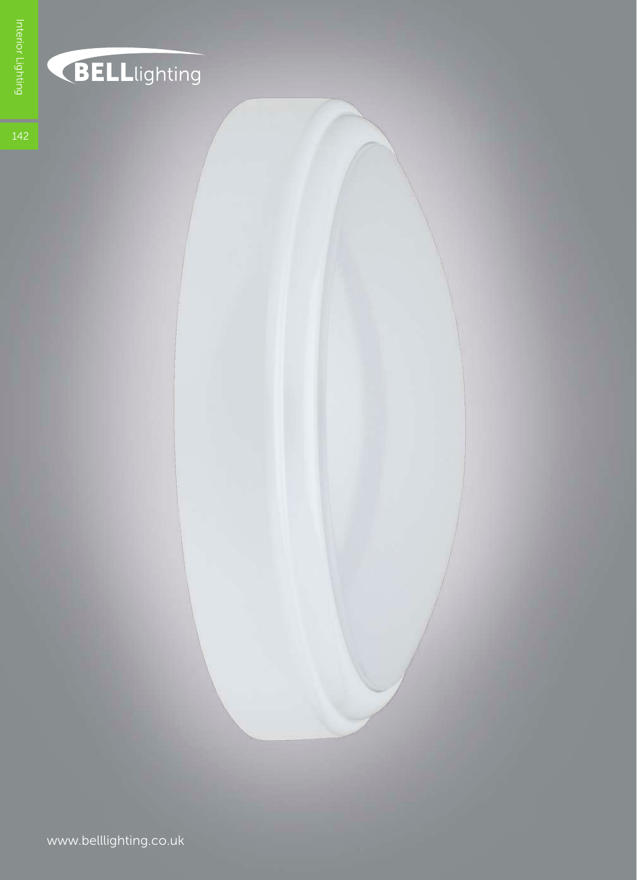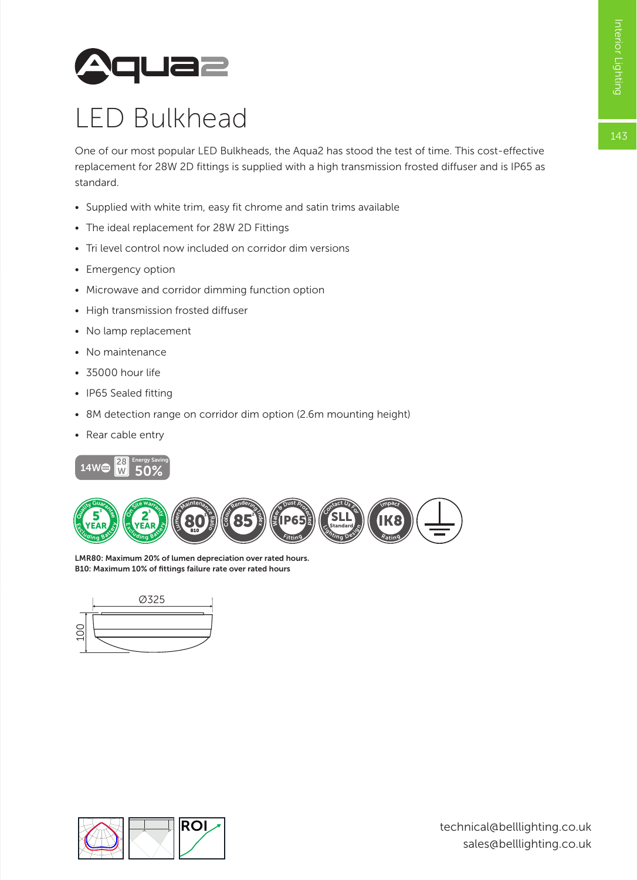143



## LED Bulkhead

One of our most popular LED Bulkheads, the Aqua2 has stood the test of time. This cost-effective replacement for 28W 2D fittings is supplied with a high transmission frosted diffuser and is IP65 as standard.

- Supplied with white trim, easy fit chrome and satin trims available
- The ideal replacement for 28W 2D Fittings
- Tri level control now included on corridor dim versions
- Emergency option
- Microwave and corridor dimming function option
- High transmission frosted diffuser
- No lamp replacement
- No maintenance
- 35000 hour life
- IP65 Sealed fitting
- 8M detection range on corridor dim option (2.6m mounting height)
- Rear cable entry





06636 B10: Maximum 10% of fittings failure rate over rated hoursLMR80: Maximum 20% of lumen depreciation over rated hours.



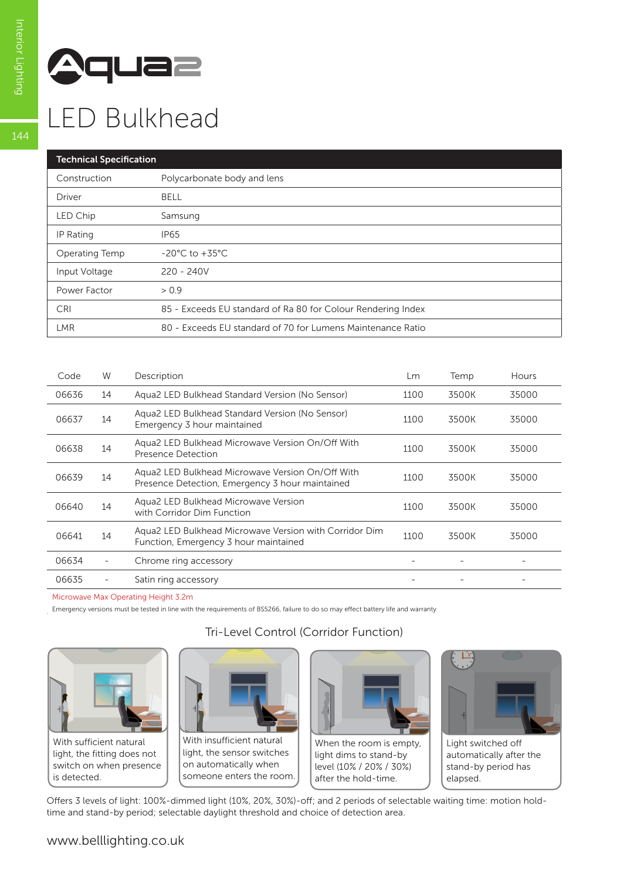

## LED Bulkhead

| <b>Technical Specification</b> |                                                              |  |  |  |  |
|--------------------------------|--------------------------------------------------------------|--|--|--|--|
| Construction                   | Polycarbonate body and lens                                  |  |  |  |  |
| Driver                         | <b>BELL</b>                                                  |  |  |  |  |
| LED Chip                       | Samsung                                                      |  |  |  |  |
| IP Rating                      | <b>IP65</b>                                                  |  |  |  |  |
| Operating Temp                 | $-20^{\circ}$ C to $+35^{\circ}$ C                           |  |  |  |  |
| Input Voltage                  | $220 - 240V$                                                 |  |  |  |  |
| Power Factor                   | > 0.9                                                        |  |  |  |  |
| <b>CRI</b>                     | 85 - Exceeds EU standard of Ra 80 for Colour Rendering Index |  |  |  |  |
| <b>LMR</b>                     | 80 - Exceeds EU standard of 70 for Lumens Maintenance Ratio  |  |  |  |  |

| Code  | W  | Description                                                                                         | Lm   | Temp  | Hours |
|-------|----|-----------------------------------------------------------------------------------------------------|------|-------|-------|
| 06636 | 14 | Agua2 LED Bulkhead Standard Version (No Sensor)                                                     | 1100 | 3500K | 35000 |
| 06637 | 14 | Aqua2 LED Bulkhead Standard Version (No Sensor)<br>Emergency 3 hour maintained                      | 1100 | 3500K | 35000 |
| 06638 | 14 | Agua2 LED Bulkhead Microwave Version On/Off With<br>Presence Detection                              | 1100 | 3500K | 35000 |
| 06639 | 14 | Agua2 LED Bulkhead Microwave Version On/Off With<br>Presence Detection, Emergency 3 hour maintained | 1100 | 3500K | 35000 |
| 06640 | 14 | Agua2 LED Bulkhead Microwave Version<br>with Corridor Dim Function                                  | 1100 | 3500K | 35000 |
| 06641 | 14 | Agua2 LED Bulkhead Microwave Version with Corridor Dim<br>Function, Emergency 3 hour maintained     | 1100 | 3500K | 35000 |
| 06634 |    | Chrome ring accessory                                                                               |      |       |       |
| 06635 |    | Satin ring accessory                                                                                |      |       |       |

Tri-Level Control (Corridor Function)

Microwave Max Operating Height 3.2m

Emergency versions must be tested in line with the requirements of BS5266, failure to do so may effect battery life and warranty .



With sufficient natural light, the fitting does not switch on when presence is detected.



With insufficient natural light, the sensor switches on automatically when someone enters the room.



When the room is empty, light dims to stand-by level (10% / 20% / 30%) after the hold-time.



elapsed.

Offers 3 levels of light: 100%-dimmed light (10%, 20%, 30%)-off; and 2 periods of selectable waiting time: motion holdtime and stand-by period; selectable daylight threshold and choice of detection area.

 $144$ 

## www.belllighting.co.uk